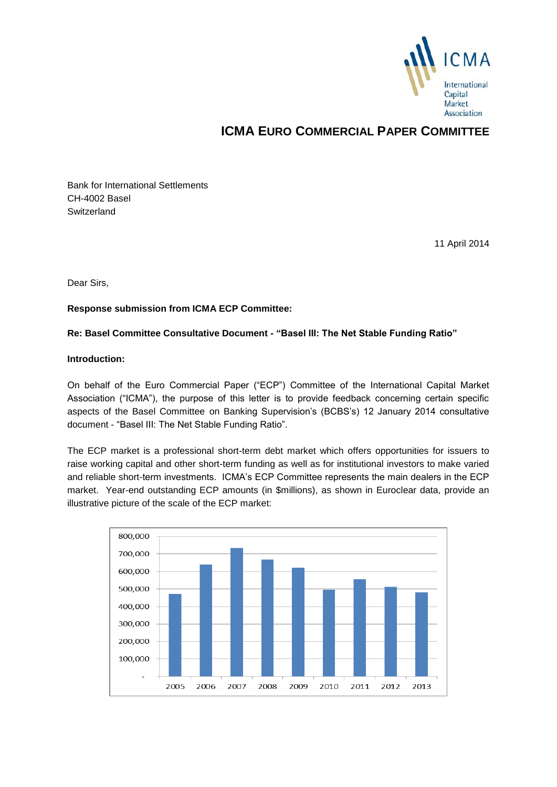

# **ICMA EURO COMMERCIAL PAPER COMMITTEE**

Bank for International Settlements CH-4002 Basel **Switzerland** 

11 April 2014

Dear Sirs,

# **Response submission from ICMA ECP Committee:**

# **Re: Basel Committee Consultative Document - "Basel III: The Net Stable Funding Ratio"**

### **Introduction:**

On behalf of the Euro Commercial Paper ("ECP") Committee of the International Capital Market Association ("ICMA"), the purpose of this letter is to provide feedback concerning certain specific aspects of the Basel Committee on Banking Supervision's (BCBS's) 12 January 2014 consultative document - "Basel III: The Net Stable Funding Ratio".

The ECP market is a professional short-term debt market which offers opportunities for issuers to raise working capital and other short-term funding as well as for institutional investors to make varied and reliable short-term investments. ICMA's ECP Committee represents the main dealers in the ECP market. Year-end outstanding ECP amounts (in \$millions), as shown in Euroclear data, provide an illustrative picture of the scale of the ECP market:

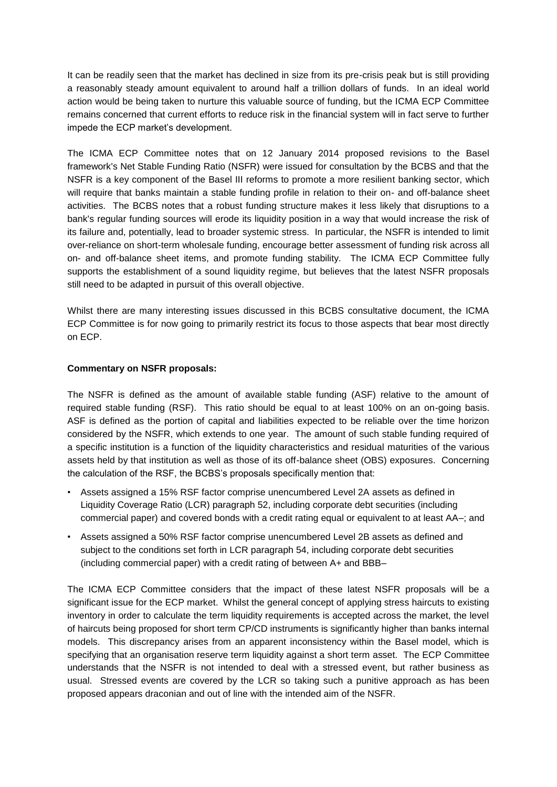It can be readily seen that the market has declined in size from its pre-crisis peak but is still providing a reasonably steady amount equivalent to around half a trillion dollars of funds. In an ideal world action would be being taken to nurture this valuable source of funding, but the ICMA ECP Committee remains concerned that current efforts to reduce risk in the financial system will in fact serve to further impede the ECP market's development.

The ICMA ECP Committee notes that on 12 January 2014 proposed revisions to the Basel framework's Net Stable Funding Ratio (NSFR) were issued for consultation by the BCBS and that the NSFR is a key component of the Basel III reforms to promote a more resilient banking sector, which will require that banks maintain a stable funding profile in relation to their on- and off-balance sheet activities. The BCBS notes that a robust funding structure makes it less likely that disruptions to a bank's regular funding sources will erode its liquidity position in a way that would increase the risk of its failure and, potentially, lead to broader systemic stress. In particular, the NSFR is intended to limit over-reliance on short-term wholesale funding, encourage better assessment of funding risk across all on- and off-balance sheet items, and promote funding stability. The ICMA ECP Committee fully supports the establishment of a sound liquidity regime, but believes that the latest NSFR proposals still need to be adapted in pursuit of this overall objective.

Whilst there are many interesting issues discussed in this BCBS consultative document, the ICMA ECP Committee is for now going to primarily restrict its focus to those aspects that bear most directly on ECP.

# **Commentary on NSFR proposals:**

The NSFR is defined as the amount of available stable funding (ASF) relative to the amount of required stable funding (RSF). This ratio should be equal to at least 100% on an on-going basis. ASF is defined as the portion of capital and liabilities expected to be reliable over the time horizon considered by the NSFR, which extends to one year. The amount of such stable funding required of a specific institution is a function of the liquidity characteristics and residual maturities of the various assets held by that institution as well as those of its off-balance sheet (OBS) exposures. Concerning the calculation of the RSF, the BCBS's proposals specifically mention that:

- Assets assigned a 15% RSF factor comprise unencumbered Level 2A assets as defined in Liquidity Coverage Ratio (LCR) paragraph 52, including corporate debt securities (including commercial paper) and covered bonds with a credit rating equal or equivalent to at least AA–; and
- Assets assigned a 50% RSF factor comprise unencumbered Level 2B assets as defined and subject to the conditions set forth in LCR paragraph 54, including corporate debt securities (including commercial paper) with a credit rating of between A+ and BBB–

The ICMA ECP Committee considers that the impact of these latest NSFR proposals will be a significant issue for the ECP market. Whilst the general concept of applying stress haircuts to existing inventory in order to calculate the term liquidity requirements is accepted across the market, the level of haircuts being proposed for short term CP/CD instruments is significantly higher than banks internal models. This discrepancy arises from an apparent inconsistency within the Basel model, which is specifying that an organisation reserve term liquidity against a short term asset. The ECP Committee understands that the NSFR is not intended to deal with a stressed event, but rather business as usual. Stressed events are covered by the LCR so taking such a punitive approach as has been proposed appears draconian and out of line with the intended aim of the NSFR.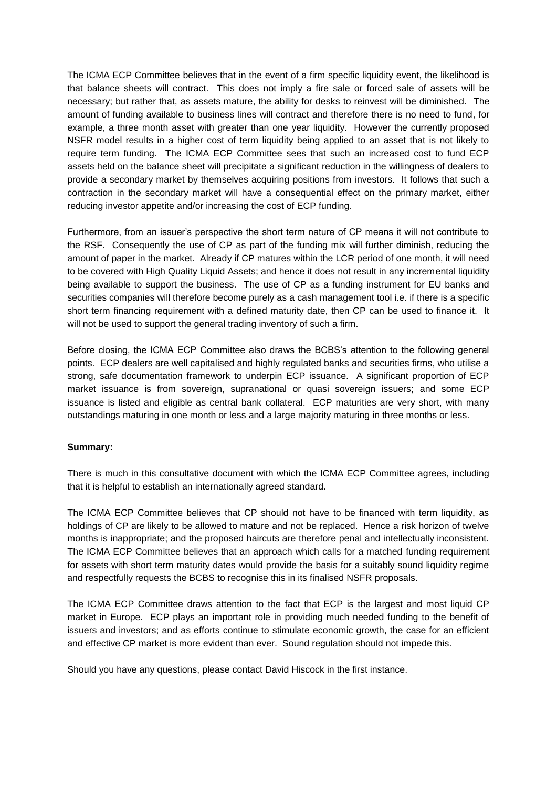The ICMA ECP Committee believes that in the event of a firm specific liquidity event, the likelihood is that balance sheets will contract. This does not imply a fire sale or forced sale of assets will be necessary; but rather that, as assets mature, the ability for desks to reinvest will be diminished. The amount of funding available to business lines will contract and therefore there is no need to fund, for example, a three month asset with greater than one year liquidity. However the currently proposed NSFR model results in a higher cost of term liquidity being applied to an asset that is not likely to require term funding. The ICMA ECP Committee sees that such an increased cost to fund ECP assets held on the balance sheet will precipitate a significant reduction in the willingness of dealers to provide a secondary market by themselves acquiring positions from investors. It follows that such a contraction in the secondary market will have a consequential effect on the primary market, either reducing investor appetite and/or increasing the cost of ECP funding.

Furthermore, from an issuer's perspective the short term nature of CP means it will not contribute to the RSF. Consequently the use of CP as part of the funding mix will further diminish, reducing the amount of paper in the market. Already if CP matures within the LCR period of one month, it will need to be covered with High Quality Liquid Assets; and hence it does not result in any incremental liquidity being available to support the business. The use of CP as a funding instrument for EU banks and securities companies will therefore become purely as a cash management tool i.e. if there is a specific short term financing requirement with a defined maturity date, then CP can be used to finance it. It will not be used to support the general trading inventory of such a firm.

Before closing, the ICMA ECP Committee also draws the BCBS's attention to the following general points. ECP dealers are well capitalised and highly regulated banks and securities firms, who utilise a strong, safe documentation framework to underpin ECP issuance. A significant proportion of ECP market issuance is from sovereign, supranational or quasi sovereign issuers; and some ECP issuance is listed and eligible as central bank collateral. ECP maturities are very short, with many outstandings maturing in one month or less and a large majority maturing in three months or less.

# **Summary:**

There is much in this consultative document with which the ICMA ECP Committee agrees, including that it is helpful to establish an internationally agreed standard.

The ICMA ECP Committee believes that CP should not have to be financed with term liquidity, as holdings of CP are likely to be allowed to mature and not be replaced. Hence a risk horizon of twelve months is inappropriate; and the proposed haircuts are therefore penal and intellectually inconsistent. The ICMA ECP Committee believes that an approach which calls for a matched funding requirement for assets with short term maturity dates would provide the basis for a suitably sound liquidity regime and respectfully requests the BCBS to recognise this in its finalised NSFR proposals.

The ICMA ECP Committee draws attention to the fact that ECP is the largest and most liquid CP market in Europe. ECP plays an important role in providing much needed funding to the benefit of issuers and investors; and as efforts continue to stimulate economic growth, the case for an efficient and effective CP market is more evident than ever. Sound regulation should not impede this.

Should you have any questions, please contact David Hiscock in the first instance.